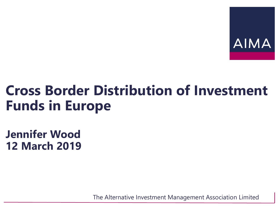

#### **Cross Border Distribution of Investment Funds in Europe**

**Jennifer Wood 12 March 2019**

The Alternative Investment Management Association Limited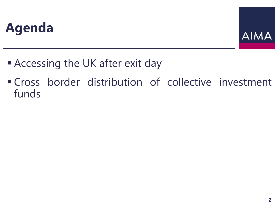#### **Agenda**



- **Example 2** Accessing the UK after exit day
- Cross border distribution of collective investment funds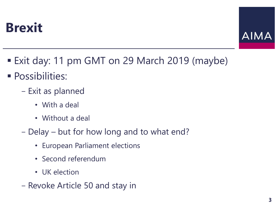



- Exit day: 11 pm GMT on 29 March 2019 (maybe)
- **Possibilities:** 
	- Exit as planned
		- With a deal
		- Without a deal
	- Delay but for how long and to what end?
		- European Parliament elections
		- Second referendum
		- UK election
	- Revoke Article 50 and stay in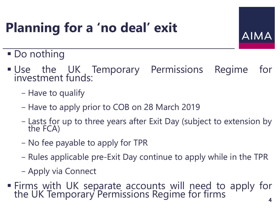# **Planning for a 'no deal' exit**

AIMA

- **Do nothing**
- **.** Use the UK Temporary Permissions Regime for investment funds:
	- Have to qualify
	- Have to apply prior to COB on 28 March 2019
	- Lasts for up to three years after Exit Day (subject to extension by the FCA)
	- No fee payable to apply for TPR
	- Rules applicable pre-Exit Day continue to apply while in the TPR
	- Apply via Connect
- **Firms with UK separate accounts will need to apply for** the UK Temporary Permissions Regime for firms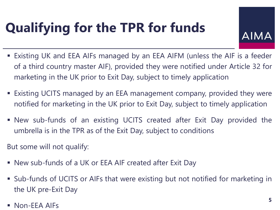# **Qualifying for the TPR for funds**

**AIMA** 

- **Existing UK and EEA AIFs managed by an EEA AIFM (unless the AIF is a feeder** of a third country master AIF), provided they were notified under Article 32 for marketing in the UK prior to Exit Day, subject to timely application
- Existing UCITS managed by an EEA management company, provided they were notified for marketing in the UK prior to Exit Day, subject to timely application
- New sub-funds of an existing UCITS created after Exit Day provided the umbrella is in the TPR as of the Exit Day, subject to conditions
- But some will not qualify:
- New sub-funds of a UK or EEA AIF created after Exit Day
- Sub-funds of UCITS or AIFs that were existing but not notified for marketing in the UK pre-Exit Day
- $\blacksquare$  Non-EEA AIFs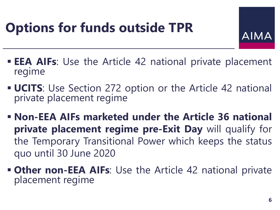# **Options for funds outside TPR**



- **EEA AIFs:** Use the Article 42 national private placement regime
- **UCITS:** Use Section 272 option or the Article 42 national private placement regime
- **Non-EEA AIFs marketed under the Article 36 national private placement regime pre-Exit Day** will qualify for the Temporary Transitional Power which keeps the status quo until 30 June 2020
- **EXALLE 12 THE ADDEX 10 THE ALLE 12 National private** placement regime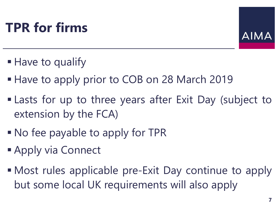# **TPR for firms**



- Have to qualify
- **Have to apply prior to COB on 28 March 2019**
- **Example 1** Lasts for up to three years after Exit Day (subject to extension by the FCA)
- No fee payable to apply for TPR
- **Apply via Connect**
- Most rules applicable pre-Exit Day continue to apply but some local UK requirements will also apply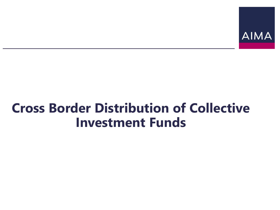

#### **Cross Border Distribution of Collective Investment Funds**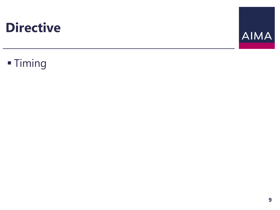

#### **- Timing**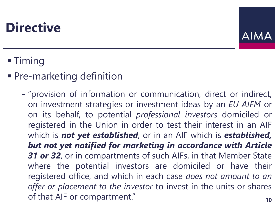

#### ■ Timing

**• Pre-marketing definition** 

- "provision of information or communication, direct or indirect, on investment strategies or investment ideas by an *EU AIFM* or on its behalf, to potential *professional investors* domiciled or registered in the Union in order to test their interest in an AIF which is *not yet established*, or in an AIF which is *established, but not yet notified for marketing in accordance with Article 31 or 32*, or in compartments of such AIFs, in that Member State where the potential investors are domiciled or have their registered office, and which in each case *does not amount to an offer or placement to the investor* to invest in the units or shares of that AIF or compartment." **10**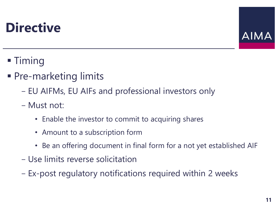

- Timing
- Pre-marketing limits
	- EU AIFMs, EU AIFs and professional investors only
	- Must not:
		- Enable the investor to commit to acquiring shares
		- Amount to a subscription form
		- Be an offering document in final form for a not yet established AIF
	- Use limits reverse solicitation
	- Ex-post regulatory notifications required within 2 weeks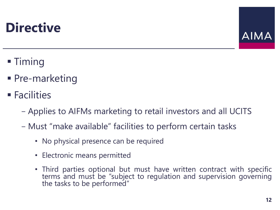

- Timing
- Pre-marketing
- Facilities
	- Applies to AIFMs marketing to retail investors and all UCITS
	- Must "make available" facilities to perform certain tasks
		- No physical presence can be required
		- Electronic means permitted
		- Third parties optional but must have written contract with specific terms and must be "subject to regulation and supervision governing the tasks to be performed"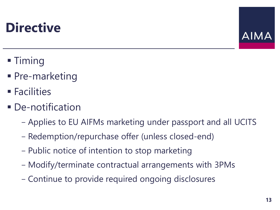

- Timing
- Pre-marketing
- Facilities
- **De-notification** 
	- Applies to EU AIFMs marketing under passport and all UCITS
	- Redemption/repurchase offer (unless closed-end)
	- Public notice of intention to stop marketing
	- Modify/terminate contractual arrangements with 3PMs
	- Continue to provide required ongoing disclosures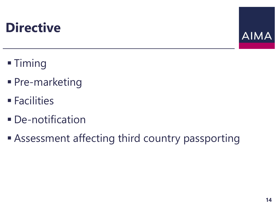

- **Timing**
- **Pre-marketing**
- **Eacilities**
- **De-notification**
- **Example 2 Assessment affecting third country passporting**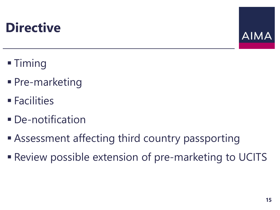

- Timing
- **Pre-marketing**
- $\blacksquare$  Facilities
- **De-notification**
- **Example 2 Assessment affecting third country passporting**
- **Review possible extension of pre-marketing to UCITS**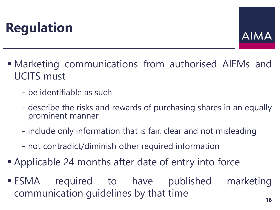

- **Marketing communications from authorised AIFMs and** UCITS must
	- be identifiable as such
	- describe the risks and rewards of purchasing shares in an equally prominent manner
	- include only information that is fair, clear and not misleading
	- not contradict/diminish other required information
- Applicable 24 months after date of entry into force
- **ESMA** required to have published marketing communication guidelines by that time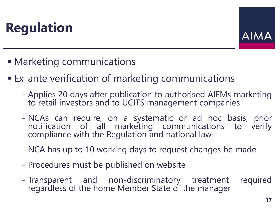

- **Marketing communications**
- Ex-ante verification of marketing communications
	- Applies 20 days after publication to authorised AIFMs marketing to retail investors and to UCITS management companies
	- NCAs can require, on a systematic or ad hoc basis, prior notification of all marketing communications to verify compliance with the Regulation and national law
	- NCA has up to 10 working days to request changes be made
	- Procedures must be published on website
	- Transparent and non-discriminatory treatment required regardless of the home Member State of the manager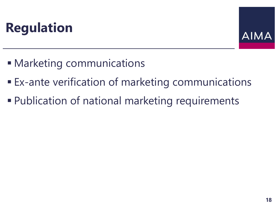

- Marketing communications
- **Ex-ante verification of marketing communications**
- **Publication of national marketing requirements**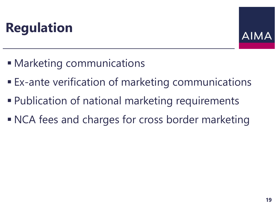

- Marketing communications
- Ex-ante verification of marketing communications
- Publication of national marketing requirements
- NCA fees and charges for cross border marketing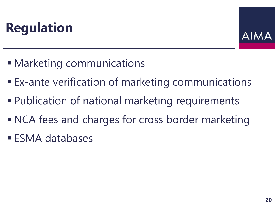

- Marketing communications
- Ex-ante verification of marketing communications
- Publication of national marketing requirements
- NCA fees and charges for cross border marketing
- **ESMA databases**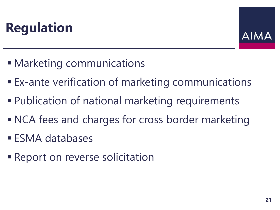

- Marketing communications
- Ex-ante verification of marketing communications
- Publication of national marketing requirements
- NCA fees and charges for cross border marketing
- **ESMA databases**
- **Example 2 Report on reverse solicitation**